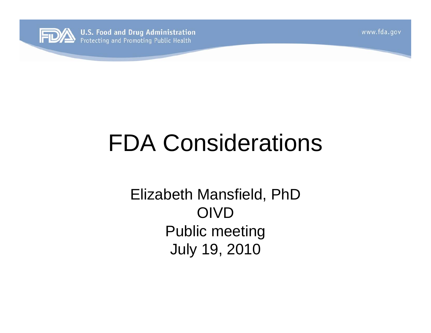



#### FDA Considerations

Elizabeth Mansfield, PhD OIVDPublic meeting July 19, 2010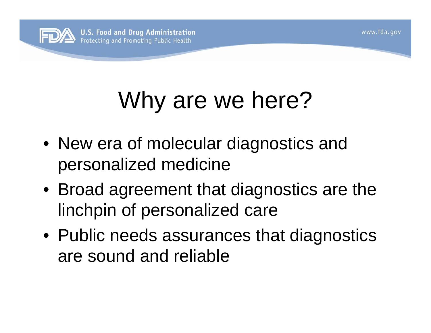

# Why are we here?

- New era of molecular diagnostics and personalized medicine
- Broad agreement that diagnostics are the linchpin of personalized care
- Public needs assurances that diagnostics are sound and reliable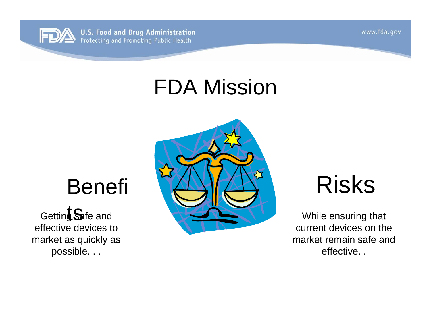

**U.S. Food and Drug Administration** Protecting and Promoting Public Health

#### www.fda.gov

#### FDA Mission

#### Benefi

Gettin $\sharp$ Safe and effective devices to market as quickly as possible. . .



#### Risks

While ensuring that current devices on the market remain safe and effective. .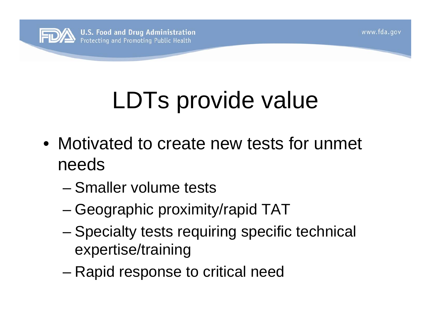

# LDTs provide value

- Motivated to create new tests for unmet needs
	- Smaller volume tests
	- –Geographic proximity/rapid TAT
	- and the state of the state Specialty tests requiring specific technical expertise/training
	- –Rapid response to critical need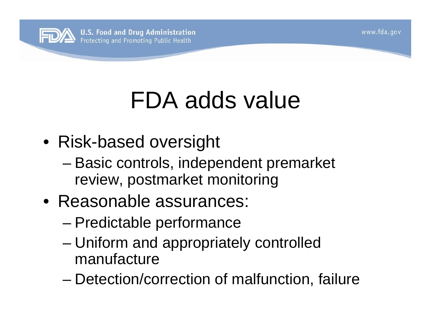

#### FDA adds value

- Risk-based oversight
	- and the state of the state Basic controls, independent premarket review, postmarket monitoring
- Reasonable assurances:
	- –Predictable performance
	- – Uniform and appropriately controlled manufacture
	- –Detection/correction of malfunction, failure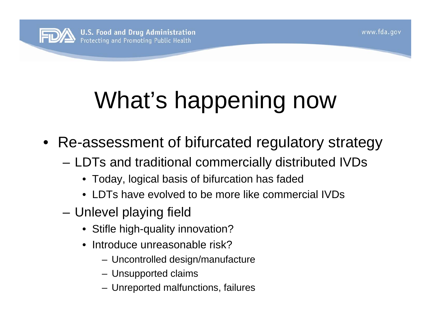

**Links of the Common** 

# What's happening now

- Re-assessment of bifurcated regulatory strategy LDTs and traditional commercially distributed IVDs
	- Today, logical basis of bifurcation has faded
	- LDTs have evolved to be more like commercial IVDs
	- and the state of the Unlevel playing field
		- Stifle high-quality innovation?
		- Introduce unreasonable risk?
			- Uncontrolled design/manufacture
			- Unsupported claims
			- Unreported malfunctions, failures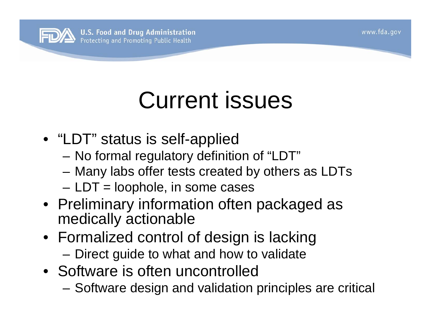

## Current issues

- "LDT" status is self-applied
	- –No formal regulatory definition of "LDT"
	- and the state of the Many labs offer tests created by others as LDTs
	- **Links of the Company** LDT = loophole, in some cases
- Preliminary information often packaged as medically actionable
- Formalized control of design is lacking –Direct guide to what and how to validate
- Software is often uncontrolled
	- **Links of the Company** Software design and validation principles are critical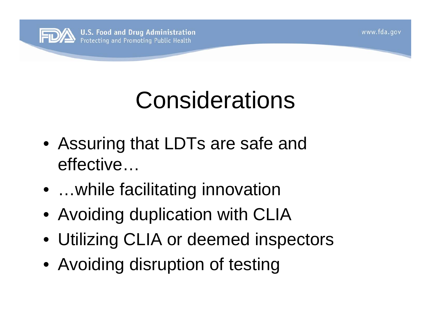

#### **Considerations**

- Assuring that LDTs are safe and effective…
- …while facilitating innovation
- Avoiding duplication with CLIA
- Utilizing CLIA or deemed inspectors
- Avoiding disruption of testing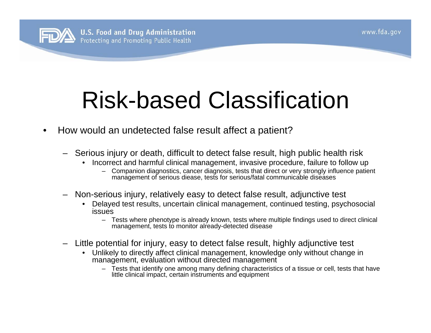

#### Risk-based Classification

- • How would an undetected false result affect a patient?
	- – Serious injury or death, difficult to detect false result, high public health risk
		- • Incorrect and harmful clinical management, invasive procedure, failure to follow up
			- Companion diagnostics, cancer diagnosis, tests that direct or very strongly influence patient management of serious diease, tests for serious/fatal communicable diseases
	- – Non-serious injury, relatively easy to detect false result, adjunctive test
		- • Delayed test results, uncertain clinical management, continued testing, psychosocial issues
			- Tests where phenotype is already known, tests where multiple findings used to direct clinical management, tests to monitor already-detected disease
	- Little potential for injury, easy to detect false result, highly adjunctive test
		- • Unlikely to directly affect clinical management, knowledge only without change in management, evaluation without directed management
			- Tests that identify one among many defining characteristics of a tissue or cell, tests that have little clinical impact, certain instruments and equipment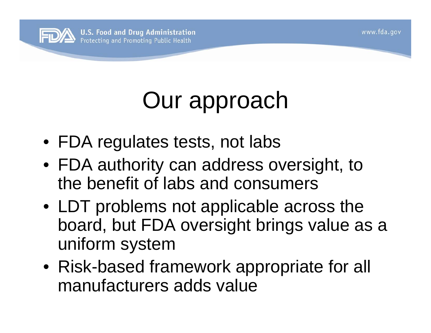

# Our approach

- FDA regulates tests, not labs
- FDA authority can address oversight, to the benefit of labs and consumers
- LDT problems not applicable across the board, but FDA oversight brings value as a uniform system
- Risk-based framework appropriate for all manufacturers adds value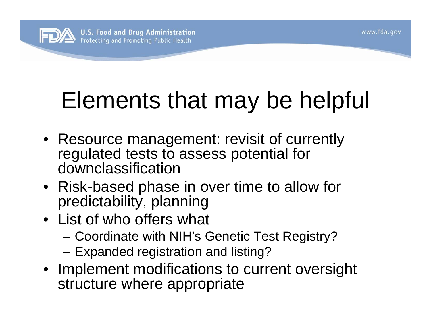

# Elements that may be helpful

- Resource management: revisit of currently regulated tests to assess potential for downclassification
- Risk-based phase in over time to allow for predictability, planning
- List of who offers what
	- **Links of the Company** Coordinate with NIH's Genetic Test Registry?
	- –Expanded registration and listing?
- Implement modifications to current oversight structure where appropriate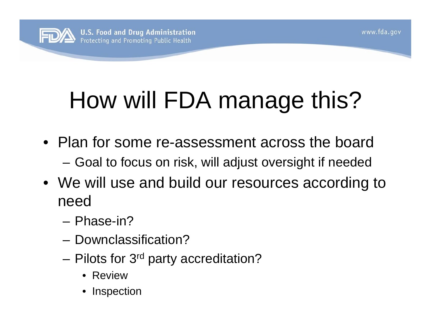

# How will FDA manage this?

- Plan for some re-assessment across the board**Links of the Company** Goal to focus on risk, will adjust oversight if needed
- We will use and build our resources according to need
	- Phase-in?
	- Downclassification?
	- and the state of the Pilots for 3<sup>rd</sup> party accreditation?
		- Review
		- •**Inspection**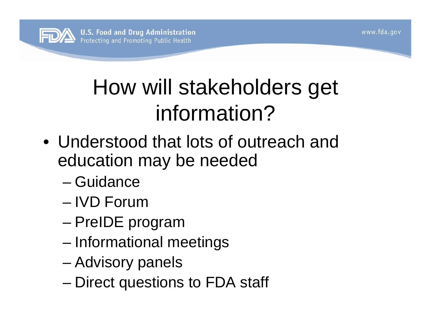

#### How will stakeholders get information?

- Understood that lots of outreach and education may be needed
	- Guidance
	- IVD Forum
	- and the state of the state PreIDE program
	- and the state of the state Informational meetings
	- –Advisory panels
	- and the state of the state Direct questions to FDA staff